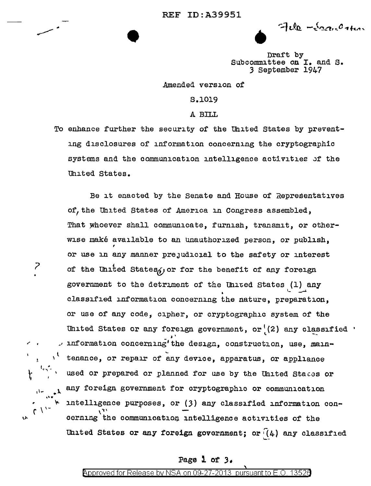•

• Draft by

Subcommittee on I. and s. *3* September 1947

Amended version of

S.1019

A Bll.L

To enhance further the security of the United States by preventing disclosures of information concerning the cryptographic systems and the communication intelligence activities of the Uhited States.

Be it enacted by the Senate and House of Representatives of, the United States of America in Congress assembled, That whoever shall communicate, furnish, transmit, or otherwise make available to an unauthorized person, or publish, or use in any manner prejudicial to the safety or interest of the United States, or for the benefit of any foreign government to the detriment of the United States (1) any classified information concerning the nature, preparation, or use of any code; cipher, or cryptographic system of the United States or any foreign government, or  $(2)$  any classified  $\cdot$ information concerning' the design, construction, use, maintenance, or repair of any device, apparatus, or appliance used or prepared or planned for use by the United States or any foreign government for cryptographic or communication intelligence purposes, or (3) any classified information concerning the communication intelligence activities of the United States or any foreign government; or  $(4)$  any classified

*?* 

' l

r ,  $t^{\frac{1}{1+\gamma^2}}$ 

 $\cdot \cdot \cdot \cdot$ 

 $\mathcal{L}$ 

('

V•

## Page 1 of *3-*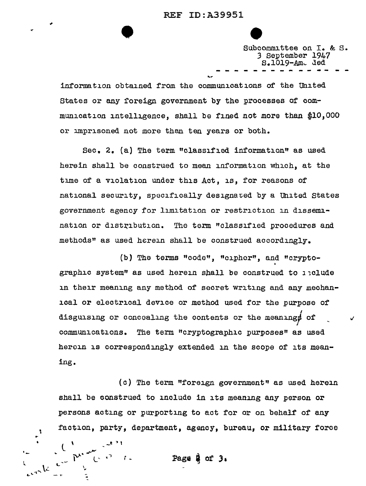

Subcommittee on I. & S. *3* September 1947  $S.1019 - Am.$  ded

information obtained from the communications of the United States or any foreign government by the processes of communication intelligence, shall be fined not more than \$10,000 or imprisoned not more than ten years or both.

Sec. 2. {a) The term "classified information" as used herein shall be construed to mean information which, at the time of a violation under this Act, is, for reasons of national security, specifically designaved by a United states government agency for limitation or restriction in dissemination or distribution. The term "classified procedures and methods" as used herein shall be construed accordingly.

(b) The terms "code", "cipher", and "crypto-<br>graphic system" as used herein shall be construed to *l*iclude in their meaning any method of secret writing and any mechanical or electrical device or method used for the purpose of I disguising or concealing the contents or the meaningf of communications. The term "cryptographic purposes" as used heroin is correspondingly extended in the scope of its meaning.

(c) The term "foreign government" as used herein shall be oonstrued to include in its meaning any person or persons acting or purporting to act for or on behalf of any faction, party, department, agency, bureau, or military force

А.

Page  $9.3$